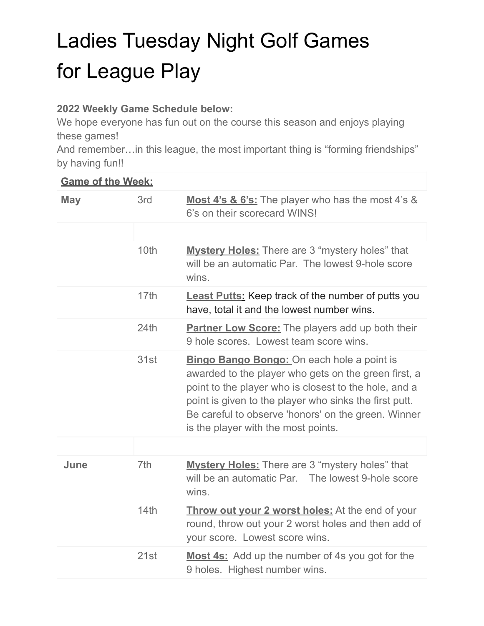## Ladies Tuesday Night Golf Games for League Play

## **2022 Weekly Game Schedule below:**

We hope everyone has fun out on the course this season and enjoys playing these games!

And remember…in this league, the most important thing is "forming friendships" by having fun!!

| <b>Game of the Week:</b> |                  |                                                                                                                                                                                                                                                                                                                            |
|--------------------------|------------------|----------------------------------------------------------------------------------------------------------------------------------------------------------------------------------------------------------------------------------------------------------------------------------------------------------------------------|
| <b>May</b>               | 3rd              | Most 4's & 6's: The player who has the most 4's &<br>6's on their scorecard WINS!                                                                                                                                                                                                                                          |
|                          |                  |                                                                                                                                                                                                                                                                                                                            |
|                          | 10th             | <b>Mystery Holes:</b> There are 3 "mystery holes" that<br>will be an automatic Par. The lowest 9-hole score<br>wins.                                                                                                                                                                                                       |
|                          | 17 <sub>th</sub> | <b>Least Putts:</b> Keep track of the number of putts you<br>have, total it and the lowest number wins.                                                                                                                                                                                                                    |
|                          | 24th             | <b>Partner Low Score:</b> The players add up both their<br>9 hole scores. Lowest team score wins.                                                                                                                                                                                                                          |
|                          | 31st             | <b>Bingo Bango Bongo:</b> On each hole a point is<br>awarded to the player who gets on the green first, a<br>point to the player who is closest to the hole, and a<br>point is given to the player who sinks the first putt.<br>Be careful to observe 'honors' on the green. Winner<br>is the player with the most points. |
|                          |                  |                                                                                                                                                                                                                                                                                                                            |
| June                     | 7th              | <b>Mystery Holes:</b> There are 3 "mystery holes" that<br>will be an automatic Par.<br>The lowest 9-hole score<br>wins.                                                                                                                                                                                                    |
|                          | 14th             | <b>Throw out your 2 worst holes:</b> At the end of your<br>round, throw out your 2 worst holes and then add of<br>your score. Lowest score wins.                                                                                                                                                                           |
|                          | 21st             | <b>Most 4s:</b> Add up the number of 4s you got for the<br>9 holes. Highest number wins.                                                                                                                                                                                                                                   |